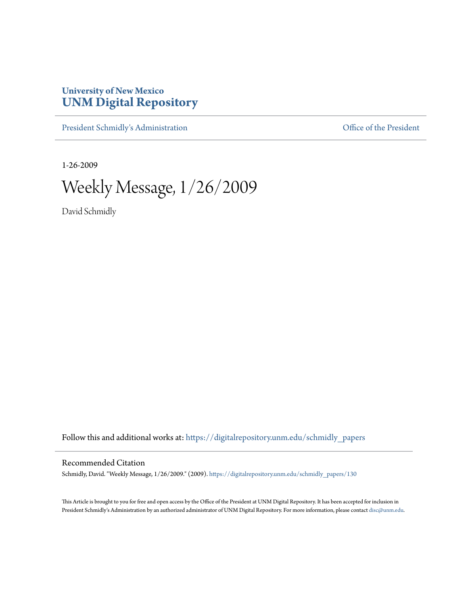## **University of New Mexico [UNM Digital Repository](https://digitalrepository.unm.edu?utm_source=digitalrepository.unm.edu%2Fschmidly_papers%2F130&utm_medium=PDF&utm_campaign=PDFCoverPages)**

[President Schmidly's Administration](https://digitalrepository.unm.edu/schmidly_papers?utm_source=digitalrepository.unm.edu%2Fschmidly_papers%2F130&utm_medium=PDF&utm_campaign=PDFCoverPages) [Office of the President](https://digitalrepository.unm.edu/ofc_president?utm_source=digitalrepository.unm.edu%2Fschmidly_papers%2F130&utm_medium=PDF&utm_campaign=PDFCoverPages)

1-26-2009

Weekly Message, 1/26/2009

David Schmidly

Follow this and additional works at: [https://digitalrepository.unm.edu/schmidly\\_papers](https://digitalrepository.unm.edu/schmidly_papers?utm_source=digitalrepository.unm.edu%2Fschmidly_papers%2F130&utm_medium=PDF&utm_campaign=PDFCoverPages)

## Recommended Citation

Schmidly, David. "Weekly Message, 1/26/2009." (2009). [https://digitalrepository.unm.edu/schmidly\\_papers/130](https://digitalrepository.unm.edu/schmidly_papers/130?utm_source=digitalrepository.unm.edu%2Fschmidly_papers%2F130&utm_medium=PDF&utm_campaign=PDFCoverPages)

This Article is brought to you for free and open access by the Office of the President at UNM Digital Repository. It has been accepted for inclusion in President Schmidly's Administration by an authorized administrator of UNM Digital Repository. For more information, please contact [disc@unm.edu](mailto:disc@unm.edu).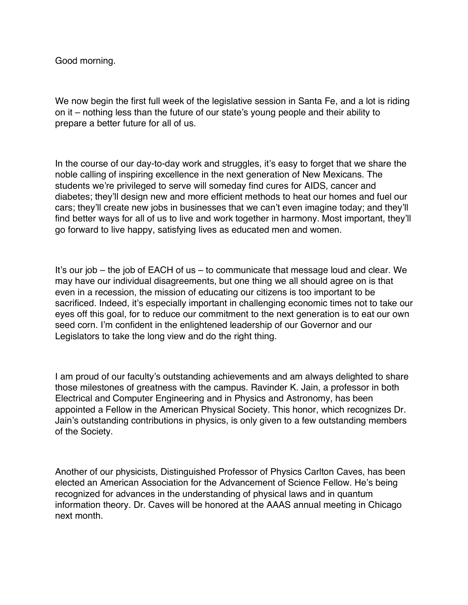Good morning.

We now begin the first full week of the legislative session in Santa Fe, and a lot is riding on it – nothing less than the future of our state's young people and their ability to prepare a better future for all of us.

In the course of our day-to-day work and struggles, it's easy to forget that we share the noble calling of inspiring excellence in the next generation of New Mexicans. The students we're privileged to serve will someday find cures for AIDS, cancer and diabetes; they'll design new and more efficient methods to heat our homes and fuel our cars; they'll create new jobs in businesses that we can't even imagine today; and they'll find better ways for all of us to live and work together in harmony. Most important, they'll go forward to live happy, satisfying lives as educated men and women.

It's our job – the job of EACH of us – to communicate that message loud and clear. We may have our individual disagreements, but one thing we all should agree on is that even in a recession, the mission of educating our citizens is too important to be sacrificed. Indeed, it's especially important in challenging economic times not to take our eyes off this goal, for to reduce our commitment to the next generation is to eat our own seed corn. I'm confident in the enlightened leadership of our Governor and our Legislators to take the long view and do the right thing.

I am proud of our faculty's outstanding achievements and am always delighted to share those milestones of greatness with the campus. Ravinder K. Jain, a professor in both Electrical and Computer Engineering and in Physics and Astronomy, has been appointed a Fellow in the American Physical Society. This honor, which recognizes Dr. Jain's outstanding contributions in physics, is only given to a few outstanding members of the Society.

Another of our physicists, Distinguished Professor of Physics Carlton Caves, has been elected an American Association for the Advancement of Science Fellow. He's being recognized for advances in the understanding of physical laws and in quantum information theory. Dr. Caves will be honored at the AAAS annual meeting in Chicago next month.